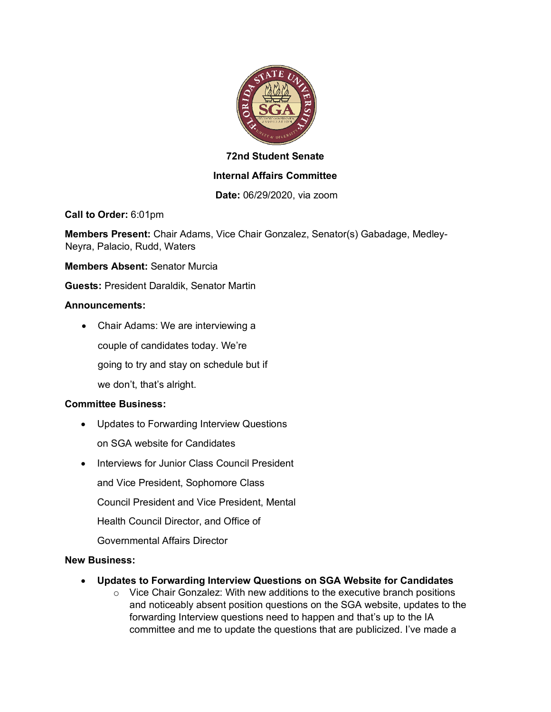

## **72nd Student Senate**

## **Internal Affairs Committee**

**Date:** 06/29/2020, via zoom

**Call to Order:** 6:01pm

**Members Present:** Chair Adams, Vice Chair Gonzalez, Senator(s) Gabadage, Medley-Neyra, Palacio, Rudd, Waters

**Members Absent:** Senator Murcia

**Guests:** President Daraldik, Senator Martin

#### **Announcements:**

• Chair Adams: We are interviewing a couple of candidates today. We're going to try and stay on schedule but if we don't, that's alright.

#### **Committee Business:**

- Updates to Forwarding Interview Questions
	- on SGA website for Candidates
- Interviews for Junior Class Council President
	- and Vice President, Sophomore Class
	- Council President and Vice President, Mental
	- Health Council Director, and Office of
	- Governmental Affairs Director

#### **New Business:**

- **Updates to Forwarding Interview Questions on SGA Website for Candidates**
	- $\circ$  Vice Chair Gonzalez: With new additions to the executive branch positions and noticeably absent position questions on the SGA website, updates to the forwarding Interview questions need to happen and that's up to the IA committee and me to update the questions that are publicized. I've made a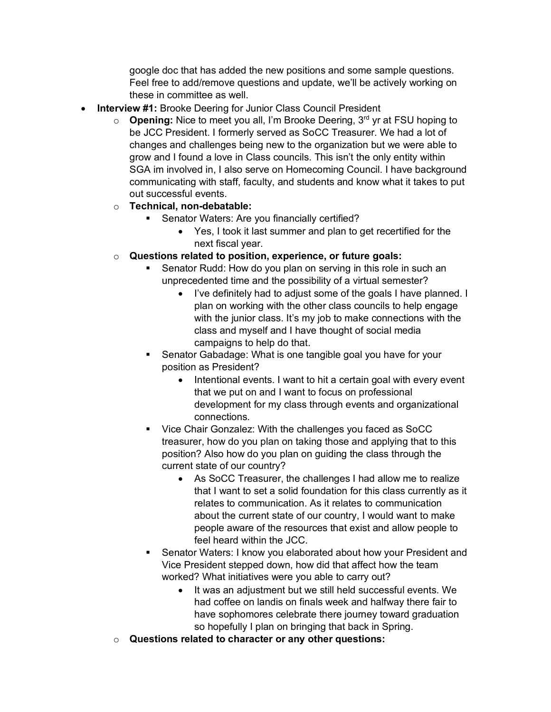google doc that has added the new positions and some sample questions. Feel free to add/remove questions and update, we'll be actively working on these in committee as well.

- **Interview #1: Brooke Deering for Junior Class Council President** 
	- o **Opening:** Nice to meet you all, I'm Brooke Deering, 3rd yr at FSU hoping to be JCC President. I formerly served as SoCC Treasurer. We had a lot of changes and challenges being new to the organization but we were able to grow and I found a love in Class councils. This isn't the only entity within SGA im involved in, I also serve on Homecoming Council. I have background communicating with staff, faculty, and students and know what it takes to put out successful events.
	- o **Technical, non-debatable:**
		- **•** Senator Waters: Are you financially certified?
			- Yes, I took it last summer and plan to get recertified for the next fiscal year.
	- o **Questions related to position, experience, or future goals:**
		- Senator Rudd: How do you plan on serving in this role in such an unprecedented time and the possibility of a virtual semester?
			- I've definitely had to adjust some of the goals I have planned. I plan on working with the other class councils to help engage with the junior class. It's my job to make connections with the class and myself and I have thought of social media campaigns to help do that.
		- § Senator Gabadage: What is one tangible goal you have for your position as President?
			- Intentional events. I want to hit a certain goal with every event that we put on and I want to focus on professional development for my class through events and organizational connections.
		- § Vice Chair Gonzalez: With the challenges you faced as SoCC treasurer, how do you plan on taking those and applying that to this position? Also how do you plan on guiding the class through the current state of our country?
			- As SoCC Treasurer, the challenges I had allow me to realize that I want to set a solid foundation for this class currently as it relates to communication. As it relates to communication about the current state of our country, I would want to make people aware of the resources that exist and allow people to feel heard within the JCC.
		- § Senator Waters: I know you elaborated about how your President and Vice President stepped down, how did that affect how the team worked? What initiatives were you able to carry out?
			- It was an adjustment but we still held successful events. We had coffee on landis on finals week and halfway there fair to have sophomores celebrate there journey toward graduation so hopefully I plan on bringing that back in Spring.
	- o **Questions related to character or any other questions:**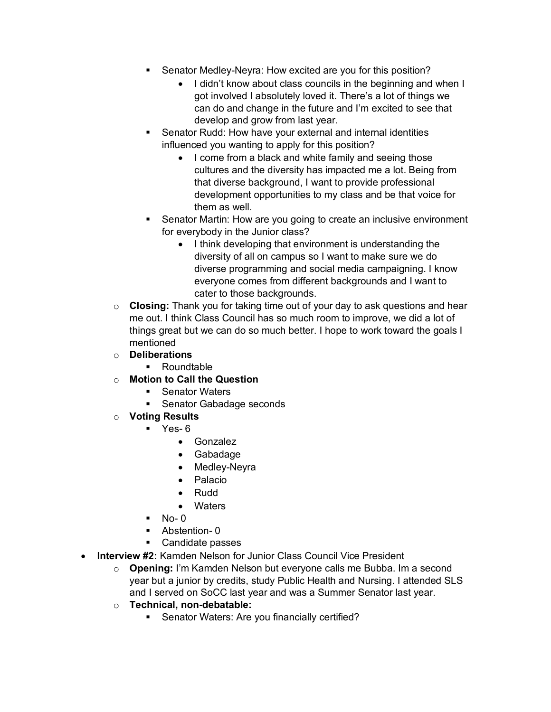- Senator Medley-Neyra: How excited are you for this position?
	- I didn't know about class councils in the beginning and when I got involved I absolutely loved it. There's a lot of things we can do and change in the future and I'm excited to see that develop and grow from last year.
- § Senator Rudd: How have your external and internal identities influenced you wanting to apply for this position?
	- I come from a black and white family and seeing those cultures and the diversity has impacted me a lot. Being from that diverse background, I want to provide professional development opportunities to my class and be that voice for them as well.
- Senator Martin: How are you going to create an inclusive environment for everybody in the Junior class?
	- I think developing that environment is understanding the diversity of all on campus so I want to make sure we do diverse programming and social media campaigning. I know everyone comes from different backgrounds and I want to cater to those backgrounds.
- o **Closing:** Thank you for taking time out of your day to ask questions and hear me out. I think Class Council has so much room to improve, we did a lot of things great but we can do so much better. I hope to work toward the goals I mentioned
- o **Deliberations**
	- Roundtable
- o **Motion to Call the Question** 
	- Senator Waters
	- Senator Gabadage seconds
- o **Voting Results** 
	- $\blacksquare$  Yes- 6
		- Gonzalez
		- Gabadage
		- Medley-Neyra
		- Palacio
		- Rudd
		- Waters
	- $\blacksquare$  No- 0
	- Abstention- 0
	- Candidate passes
- **Interview #2:** Kamden Nelson for Junior Class Council Vice President
	- o **Opening:** I'm Kamden Nelson but everyone calls me Bubba. Im a second year but a junior by credits, study Public Health and Nursing. I attended SLS and I served on SoCC last year and was a Summer Senator last year.
	- o **Technical, non-debatable:**
		- Senator Waters: Are you financially certified?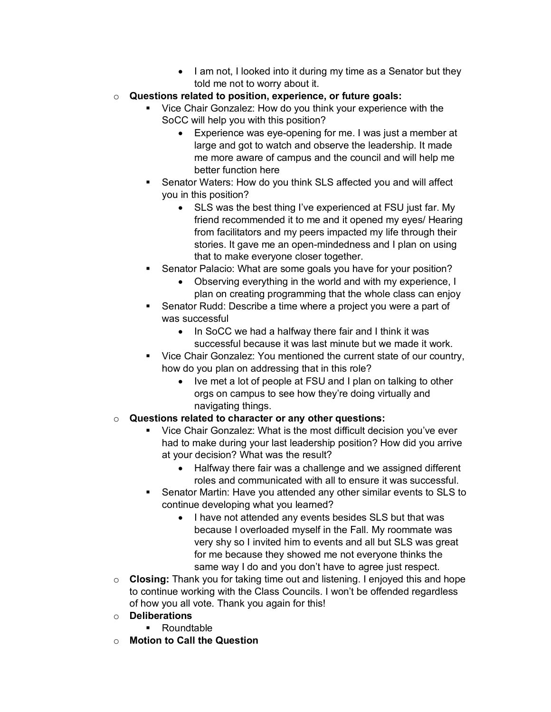- I am not, I looked into it during my time as a Senator but they told me not to worry about it.
- o **Questions related to position, experience, or future goals:**
	- § Vice Chair Gonzalez: How do you think your experience with the SoCC will help you with this position?
		- Experience was eye-opening for me. I was just a member at large and got to watch and observe the leadership. It made me more aware of campus and the council and will help me better function here
	- Senator Waters: How do you think SLS affected you and will affect you in this position?
		- SLS was the best thing I've experienced at FSU just far. My friend recommended it to me and it opened my eyes/ Hearing from facilitators and my peers impacted my life through their stories. It gave me an open-mindedness and I plan on using that to make everyone closer together.
	- § Senator Palacio: What are some goals you have for your position?
		- Observing everything in the world and with my experience, I plan on creating programming that the whole class can enjoy
	- § Senator Rudd: Describe a time where a project you were a part of was successful
		- In SoCC we had a halfway there fair and I think it was successful because it was last minute but we made it work.
	- Vice Chair Gonzalez: You mentioned the current state of our country, how do you plan on addressing that in this role?
		- Ive met a lot of people at FSU and I plan on talking to other orgs on campus to see how they're doing virtually and navigating things.
- o **Questions related to character or any other questions:**
	- § Vice Chair Gonzalez: What is the most difficult decision you've ever had to make during your last leadership position? How did you arrive at your decision? What was the result?
		- Halfway there fair was a challenge and we assigned different roles and communicated with all to ensure it was successful.
	- § Senator Martin: Have you attended any other similar events to SLS to continue developing what you learned?
		- I have not attended any events besides SLS but that was because I overloaded myself in the Fall. My roommate was very shy so I invited him to events and all but SLS was great for me because they showed me not everyone thinks the same way I do and you don't have to agree just respect.
- o **Closing:** Thank you for taking time out and listening. I enjoyed this and hope to continue working with the Class Councils. I won't be offended regardless of how you all vote. Thank you again for this!
- o **Deliberations**
	- Roundtable
- o **Motion to Call the Question**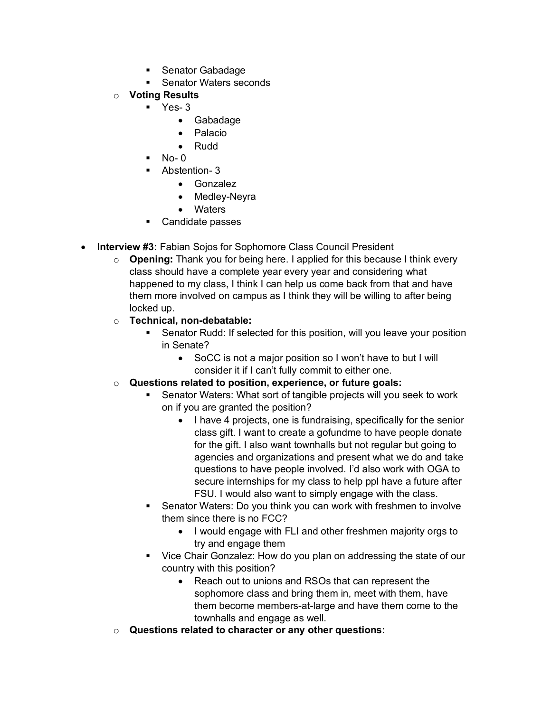- Senator Gabadage
- Senator Waters seconds
- o **Voting Results** 
	- $\blacksquare$  Yes- 3
		- Gabadage
		- Palacio
		- Rudd
		- § No- 0
	- § Abstention- 3
		- Gonzalez
		- Medley-Neyra
		- Waters
	- Candidate passes
- **Interview #3:** Fabian Sojos for Sophomore Class Council President
	- o **Opening:** Thank you for being here. I applied for this because I think every class should have a complete year every year and considering what happened to my class, I think I can help us come back from that and have them more involved on campus as I think they will be willing to after being locked up.
	- o **Technical, non-debatable:**
		- Senator Rudd: If selected for this position, will you leave your position in Senate?
			- SoCC is not a major position so I won't have to but I will consider it if I can't fully commit to either one.
	- o **Questions related to position, experience, or future goals:**
		- § Senator Waters: What sort of tangible projects will you seek to work on if you are granted the position?
			- I have 4 projects, one is fundraising, specifically for the senior class gift. I want to create a gofundme to have people donate for the gift. I also want townhalls but not regular but going to agencies and organizations and present what we do and take questions to have people involved. I'd also work with OGA to secure internships for my class to help ppl have a future after FSU. I would also want to simply engage with the class.
		- § Senator Waters: Do you think you can work with freshmen to involve them since there is no FCC?
			- I would engage with FLI and other freshmen majority orgs to try and engage them
		- Vice Chair Gonzalez: How do you plan on addressing the state of our country with this position?
			- Reach out to unions and RSOs that can represent the sophomore class and bring them in, meet with them, have them become members-at-large and have them come to the townhalls and engage as well.
	- o **Questions related to character or any other questions:**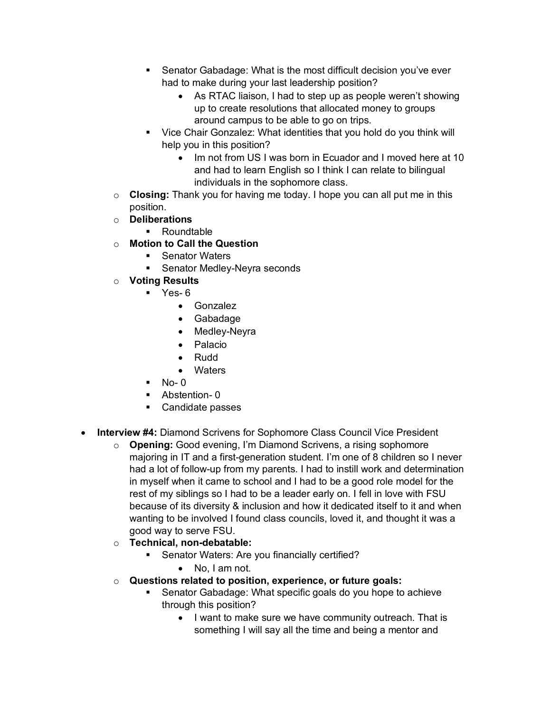- Senator Gabadage: What is the most difficult decision you've ever had to make during your last leadership position?
	- As RTAC liaison, I had to step up as people weren't showing up to create resolutions that allocated money to groups around campus to be able to go on trips.
- Vice Chair Gonzalez: What identities that you hold do you think will help you in this position?
	- Im not from US I was born in Ecuador and I moved here at 10 and had to learn English so I think I can relate to bilingual individuals in the sophomore class.
- o **Closing:** Thank you for having me today. I hope you can all put me in this position.
- o **Deliberations**
	- § Roundtable
- o **Motion to Call the Question** 
	- Senator Waters
	- § Senator Medley-Neyra seconds
- o **Voting Results** 
	- $\blacksquare$  Yes- 6
		- Gonzalez
		- Gabadage
		- Medley-Neyra
		- Palacio
		- Rudd
		- **Waters**
	- $No-<sub>0</sub>$
	- § Abstention- 0
	- Candidate passes
- **Interview #4:** Diamond Scrivens for Sophomore Class Council Vice President
	- o **Opening:** Good evening, I'm Diamond Scrivens, a rising sophomore majoring in IT and a first-generation student. I'm one of 8 children so I never had a lot of follow-up from my parents. I had to instill work and determination in myself when it came to school and I had to be a good role model for the rest of my siblings so I had to be a leader early on. I fell in love with FSU because of its diversity & inclusion and how it dedicated itself to it and when wanting to be involved I found class councils, loved it, and thought it was a good way to serve FSU.
	- o **Technical, non-debatable:**
		- **Senator Waters: Are you financially certified?** 
			- No, I am not.
	- o **Questions related to position, experience, or future goals:**
		- § Senator Gabadage: What specific goals do you hope to achieve through this position?
			- I want to make sure we have community outreach. That is something I will say all the time and being a mentor and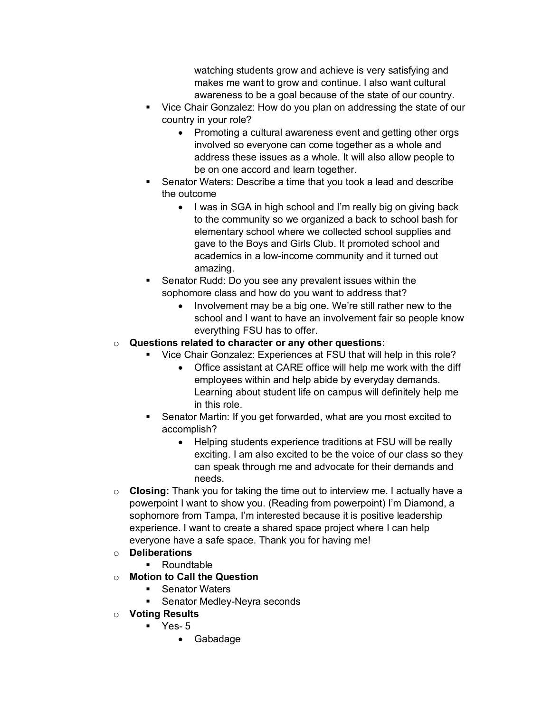watching students grow and achieve is very satisfying and makes me want to grow and continue. I also want cultural awareness to be a goal because of the state of our country.

- Vice Chair Gonzalez: How do you plan on addressing the state of our country in your role?
	- Promoting a cultural awareness event and getting other orgs involved so everyone can come together as a whole and address these issues as a whole. It will also allow people to be on one accord and learn together.
- § Senator Waters: Describe a time that you took a lead and describe the outcome
	- I was in SGA in high school and I'm really big on giving back to the community so we organized a back to school bash for elementary school where we collected school supplies and gave to the Boys and Girls Club. It promoted school and academics in a low-income community and it turned out amazing.
- Senator Rudd: Do you see any prevalent issues within the sophomore class and how do you want to address that?
	- Involvement may be a big one. We're still rather new to the school and I want to have an involvement fair so people know everything FSU has to offer.

## o **Questions related to character or any other questions:**

- Vice Chair Gonzalez: Experiences at FSU that will help in this role?
	- Office assistant at CARE office will help me work with the diff employees within and help abide by everyday demands. Learning about student life on campus will definitely help me in this role.
- Senator Martin: If you get forwarded, what are you most excited to accomplish?
	- Helping students experience traditions at FSU will be really exciting. I am also excited to be the voice of our class so they can speak through me and advocate for their demands and needs.
- o **Closing:** Thank you for taking the time out to interview me. I actually have a powerpoint I want to show you. (Reading from powerpoint) I'm Diamond, a sophomore from Tampa, I'm interested because it is positive leadership experience. I want to create a shared space project where I can help everyone have a safe space. Thank you for having me!

# o **Deliberations**

- Roundtable
- o **Motion to Call the Question** 
	- Senator Waters
		- **•** Senator Medley-Neyra seconds
- o **Voting Results** 
	- $\blacksquare$  Yes- 5
		- Gabadage